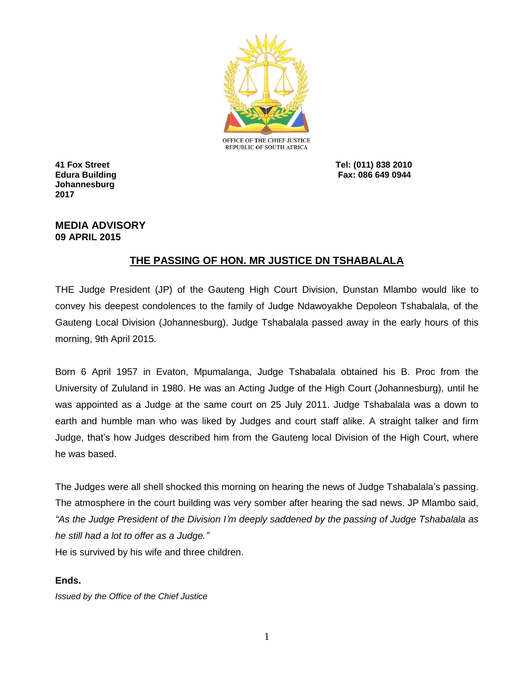

**Johannesburg 2017**

**41 Fox Street Tel: (011) 838 2010 Edura Building Fax: 086 649 0944**

## **MEDIA ADVISORY 09 APRIL 2015**

## **THE PASSING OF HON. MR JUSTICE DN TSHABALALA**

THE Judge President (JP) of the Gauteng High Court Division, Dunstan Mlambo would like to convey his deepest condolences to the family of Judge Ndawoyakhe Depoleon Tshabalala, of the Gauteng Local Division (Johannesburg). Judge Tshabalala passed away in the early hours of this morning, 9th April 2015.

Born 6 April 1957 in Evaton, Mpumalanga, Judge Tshabalala obtained his B. Proc from the University of Zululand in 1980. He was an Acting Judge of the High Court (Johannesburg), until he was appointed as a Judge at the same court on 25 July 2011. Judge Tshabalala was a down to earth and humble man who was liked by Judges and court staff alike. A straight talker and firm Judge, that's how Judges described him from the Gauteng local Division of the High Court, where he was based.

The Judges were all shell shocked this morning on hearing the news of Judge Tshabalala's passing. The atmosphere in the court building was very somber after hearing the sad news. JP Mlambo said, *"As the Judge President of the Division I'm deeply saddened by the passing of Judge Tshabalala as he still had a lot to offer as a Judge."*

He is survived by his wife and three children.

## **Ends.**

*Issued by the Office of the Chief Justice*